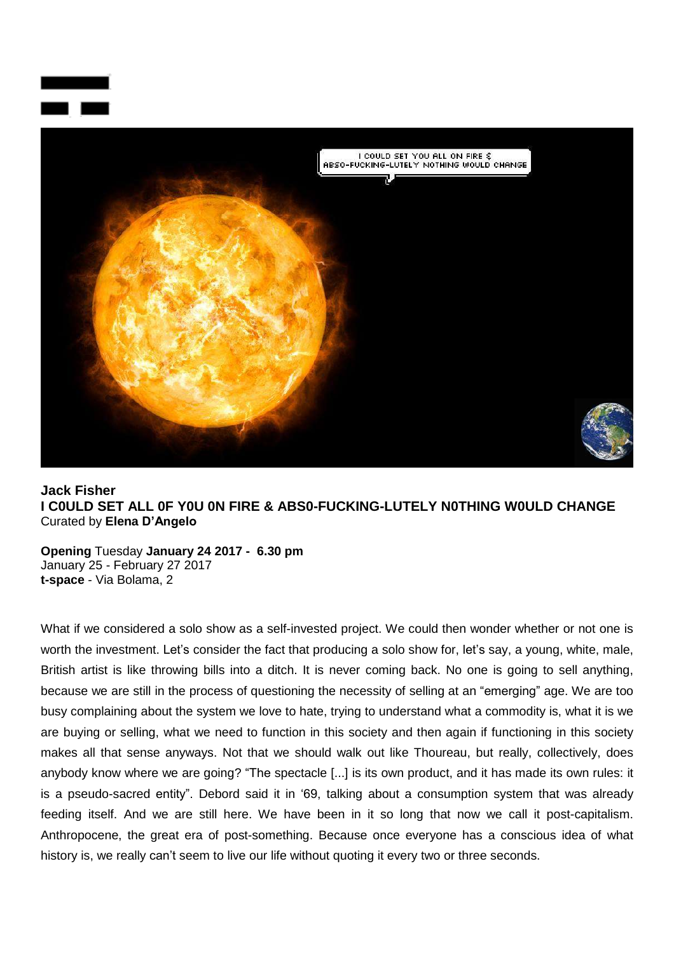



## **Jack Fisher I C0ULD SET ALL 0F Y0U 0N FIRE & ABS0-FUCKING-LUTELY N0THING W0ULD CHANGE** Curated by **Elena D'Angelo**

**Opening** Tuesday **January 24 2017 - 6.30 pm** January 25 - February 27 2017 **t-space** - Via Bolama, 2

What if we considered a solo show as a self-invested project. We could then wonder whether or not one is worth the investment. Let's consider the fact that producing a solo show for, let's say, a young, white, male, British artist is like throwing bills into a ditch. It is never coming back. No one is going to sell anything, because we are still in the process of questioning the necessity of selling at an "emerging" age. We are too busy complaining about the system we love to hate, trying to understand what a commodity is, what it is we are buying or selling, what we need to function in this society and then again if functioning in this society makes all that sense anyways. Not that we should walk out like Thoureau, but really, collectively, does anybody know where we are going? "The spectacle [...] is its own product, and it has made its own rules: it is a pseudo-sacred entity". Debord said it in "69, talking about a consumption system that was already feeding itself. And we are still here. We have been in it so long that now we call it post-capitalism. Anthropocene, the great era of post-something. Because once everyone has a conscious idea of what history is, we really can't seem to live our life without quoting it every two or three seconds.